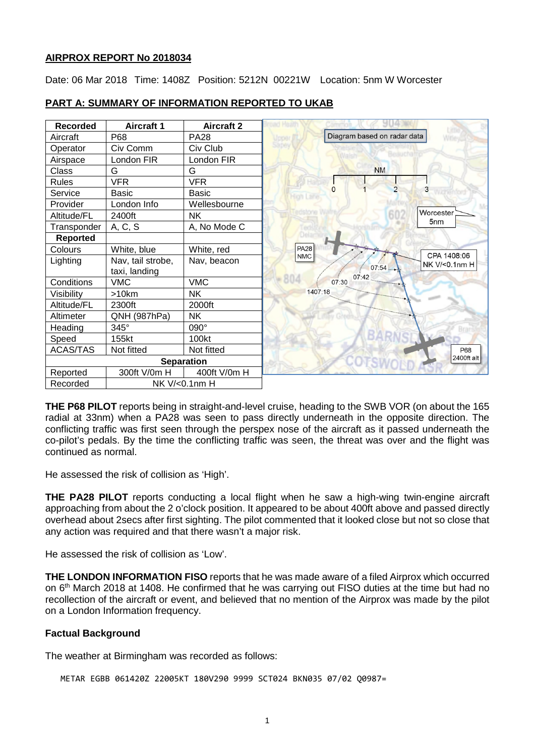#### **AIRPROX REPORT No 2018034**

Date: 06 Mar 2018 Time: 1408Z Position: 5212N 00221W Location: 5nm W Worcester



### **PART A: SUMMARY OF INFORMATION REPORTED TO UKAB**

**THE P68 PILOT** reports being in straight-and-level cruise, heading to the SWB VOR (on about the 165 radial at 33nm) when a PA28 was seen to pass directly underneath in the opposite direction. The conflicting traffic was first seen through the perspex nose of the aircraft as it passed underneath the co-pilot's pedals. By the time the conflicting traffic was seen, the threat was over and the flight was continued as normal.

He assessed the risk of collision as 'High'.

**THE PA28 PILOT** reports conducting a local flight when he saw a high-wing twin-engine aircraft approaching from about the 2 o'clock position. It appeared to be about 400ft above and passed directly overhead about 2secs after first sighting. The pilot commented that it looked close but not so close that any action was required and that there wasn't a major risk.

He assessed the risk of collision as 'Low'.

**THE LONDON INFORMATION FISO** reports that he was made aware of a filed Airprox which occurred on 6<sup>th</sup> March 2018 at 1408. He confirmed that he was carrying out FISO duties at the time but had no recollection of the aircraft or event, and believed that no mention of the Airprox was made by the pilot on a London Information frequency.

### **Factual Background**

The weather at Birmingham was recorded as follows:

METAR EGBB 061420Z 22005KT 180V290 9999 SCT024 BKN035 07/02 Q0987=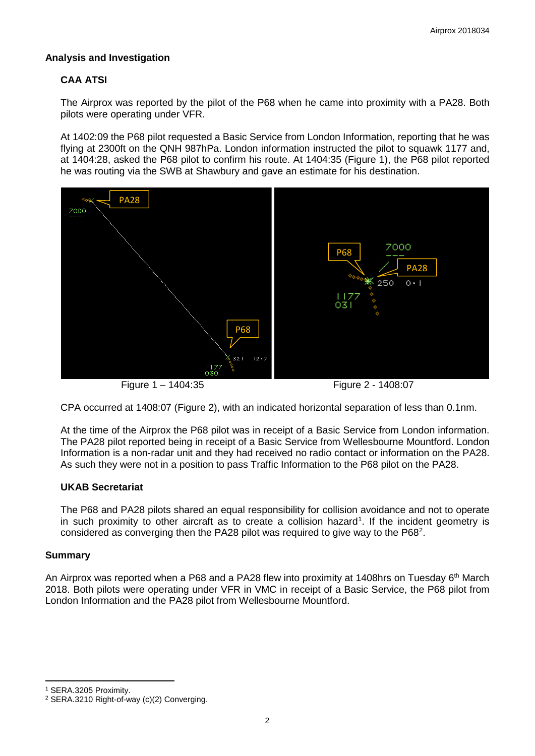### **Analysis and Investigation**

# **CAA ATSI**

The Airprox was reported by the pilot of the P68 when he came into proximity with a PA28. Both pilots were operating under VFR.

At 1402:09 the P68 pilot requested a Basic Service from London Information, reporting that he was flying at 2300ft on the QNH 987hPa. London information instructed the pilot to squawk 1177 and. at 1404:28, asked the P68 pilot to confirm his route. At 1404:35 (Figure 1), the P68 pilot reported he was routing via the SWB at Shawbury and gave an estimate for his destination.



Figure 1 – 1404:35 Figure 2 - 1408:07

CPA occurred at 1408:07 (Figure 2), with an indicated horizontal separation of less than 0.1nm.

At the time of the Airprox the P68 pilot was in receipt of a Basic Service from London information. The PA28 pilot reported being in receipt of a Basic Service from Wellesbourne Mountford. London Information is a non-radar unit and they had received no radio contact or information on the PA28. As such they were not in a position to pass Traffic Information to the P68 pilot on the PA28.

# **UKAB Secretariat**

The P68 and PA28 pilots shared an equal responsibility for collision avoidance and not to operate in such proximity to other aircraft as to create a collision hazard<sup>[1](#page-1-0)</sup>. If the incident geometry is considered as converging then the PA[2](#page-1-1)8 pilot was required to give way to the P68<sup>2</sup>.

### **Summary**

l

An Airprox was reported when a P68 and a PA28 flew into proximity at 1408hrs on Tuesday 6<sup>th</sup> March 2018. Both pilots were operating under VFR in VMC in receipt of a Basic Service, the P68 pilot from London Information and the PA28 pilot from Wellesbourne Mountford.

<span id="page-1-0"></span><sup>1</sup> SERA.3205 Proximity.

<span id="page-1-1"></span><sup>2</sup> SERA.3210 Right-of-way (c)(2) Converging.